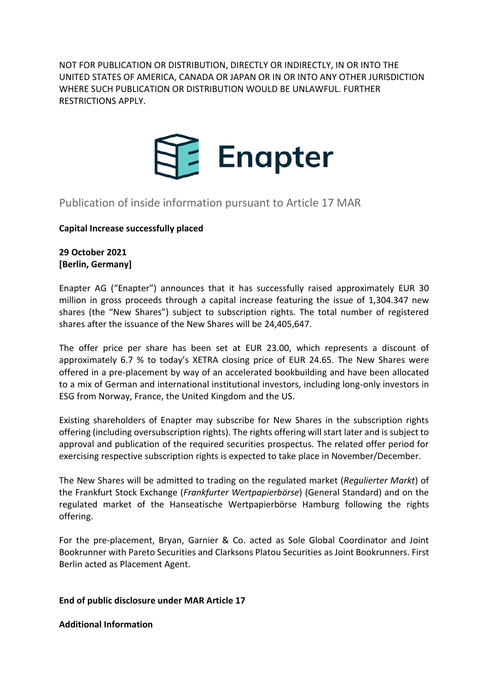NOT FOR PUBLICATION OR DISTRIBUTION, DIRECTLY OR INDIRECTLY, IN OR INTO THE UNITED STATES OF AMERICA, CANADA OR JAPAN OR IN OR INTO ANY OTHER JURISDICTION WHERE SUCH PUBLICATION OR DISTRIBUTION WOULD BE UNLAWFUL. FURTHER RESTRICTIONS APPLY.



# Publication of inside information pursuant to Article 17 MAR

# **Capital Increase successfully placed**

# **29 October 2021 [Berlin, Germany]**

Enapter AG ("Enapter") announces that it has successfully raised approximately EUR 30 million in gross proceeds through a capital increase featuring the issue of 1,304.347 new shares (the "New Shares") subject to subscription rights. The total number of registered shares after the issuance of the New Shares will be 24,405,647.

The offer price per share has been set at EUR 23.00, which represents a discount of approximately 6.7 % to today's XETRA closing price of EUR 24.65. The New Shares were offered in a pre-placement by way of an accelerated bookbuilding and have been allocated to a mix of German and international institutional investors, including long-only investors in ESG from Norway, France, the United Kingdom and the US.

Existing shareholders of Enapter may subscribe for New Shares in the subscription rights offering (including oversubscription rights). The rights offering will start later and is subject to approval and publication of the required securities prospectus. The related offer period for exercising respective subscription rights is expected to take place in November/December.

The New Shares will be admitted to trading on the regulated market (*Regulierter Markt*) of the Frankfurt Stock Exchange (*Frankfurter Wertpapierbörse*) (General Standard) and on the regulated market of the Hanseatische Wertpapierbörse Hamburg following the rights offering.

For the pre-placement, Bryan, Garnier & Co. acted as Sole Global Coordinator and Joint Bookrunner with Pareto Securities and Clarksons Platou Securities as Joint Bookrunners. First Berlin acted as Placement Agent.

## **End of public disclosure under MAR Article 17**

**Additional Information**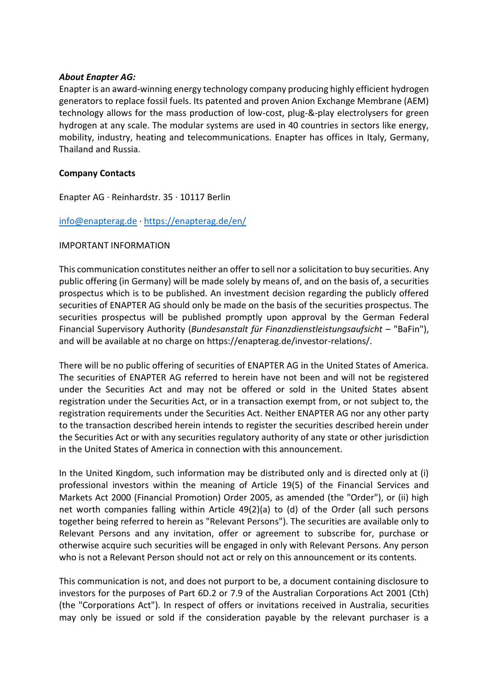#### *About Enapter AG:*

Enapter is an award-winning energy technology company producing highly efficient hydrogen generators to replace fossil fuels. Its patented and proven Anion Exchange Membrane (AEM) technology allows for the mass production of low-cost, plug-&-play electrolysers for green hydrogen at any scale. The modular systems are used in 40 countries in sectors like energy, mobility, industry, heating and telecommunications. Enapter has offices in Italy, Germany, Thailand and Russia.

## **Company Contacts**

Enapter AG · Reinhardstr. 35 · 10117 Berlin

# [info@enapterag.de](mailto:info@enapterag.de) ·<https://enapterag.de/en/>

## IMPORTANT INFORMATION

This communication constitutes neither an offer to sell nor a solicitation to buy securities. Any public offering (in Germany) will be made solely by means of, and on the basis of, a securities prospectus which is to be published. An investment decision regarding the publicly offered securities of ENAPTER AG should only be made on the basis of the securities prospectus. The securities prospectus will be published promptly upon approval by the German Federal Financial Supervisory Authority (*Bundesanstalt für Finanzdienstleistungsaufsicht* – "BaFin"), and will be available at no charge on https://enapterag.de/investor-relations/.

There will be no public offering of securities of ENAPTER AG in the United States of America. The securities of ENAPTER AG referred to herein have not been and will not be registered under the Securities Act and may not be offered or sold in the United States absent registration under the Securities Act, or in a transaction exempt from, or not subject to, the registration requirements under the Securities Act. Neither ENAPTER AG nor any other party to the transaction described herein intends to register the securities described herein under the Securities Act or with any securities regulatory authority of any state or other jurisdiction in the United States of America in connection with this announcement.

In the United Kingdom, such information may be distributed only and is directed only at (i) professional investors within the meaning of Article 19(5) of the Financial Services and Markets Act 2000 (Financial Promotion) Order 2005, as amended (the "Order"), or (ii) high net worth companies falling within Article 49(2)(a) to (d) of the Order (all such persons together being referred to herein as "Relevant Persons"). The securities are available only to Relevant Persons and any invitation, offer or agreement to subscribe for, purchase or otherwise acquire such securities will be engaged in only with Relevant Persons. Any person who is not a Relevant Person should not act or rely on this announcement or its contents.

This communication is not, and does not purport to be, a document containing disclosure to investors for the purposes of Part 6D.2 or 7.9 of the Australian Corporations Act 2001 (Cth) (the "Corporations Act"). In respect of offers or invitations received in Australia, securities may only be issued or sold if the consideration payable by the relevant purchaser is a